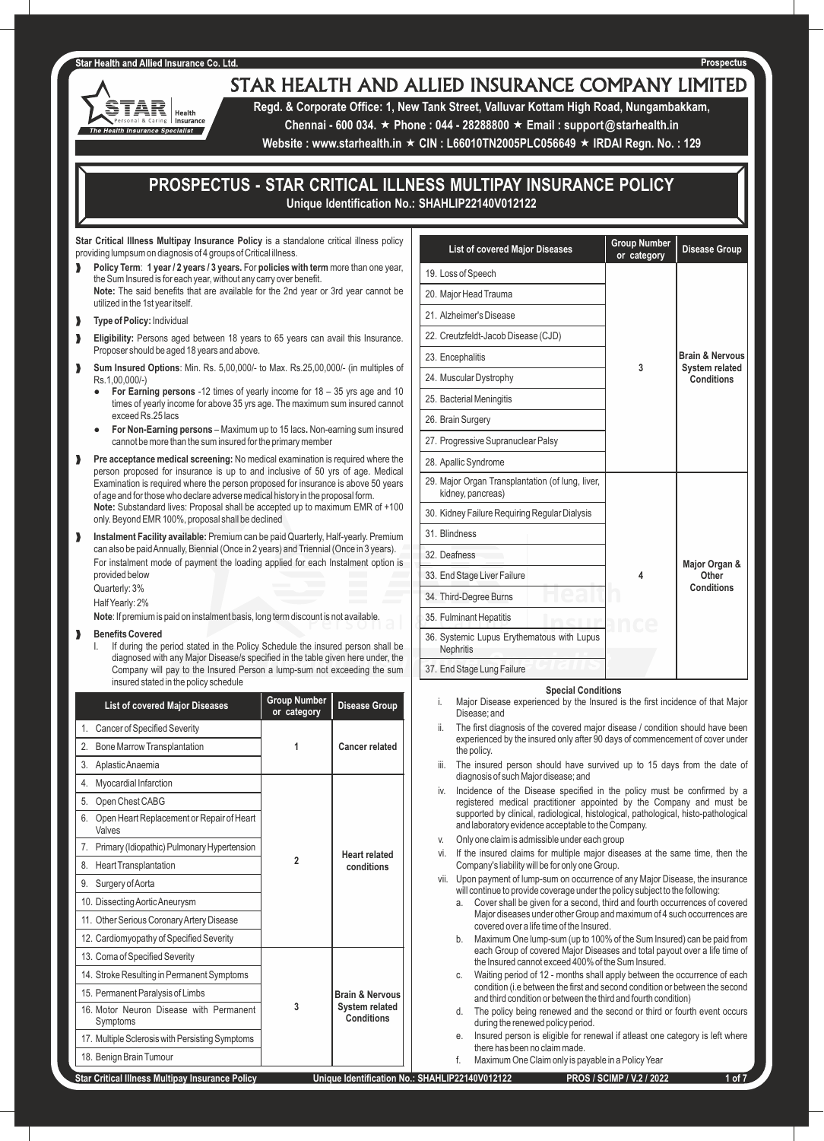₹ Health Insurance Health Insurance Specialist

# STAR HEALTH AND ALLIED INSURANCE COMPANY LIMITED

**Regd. & Corporate Office: 1, New Tank Street, Valluvar Kottam High Road, Nungambakkam,** 

**Chennai - 600 034.** « **Phone : 044 - 28288800** « **Email : support@starhealth.in** 

**Website : www.starhealth.in ★ CIN : L66010TN2005PLC056649 ★ IRDAI Regn. No. : 129** 

# **PROSPECTUS - STAR CRITICAL ILLNESS MULTIPAY INSURANCE POLICY Unique Identification No.: SHAHLIP22140V012122**

**Star Critical Illness Multipay Insurance Policy** is a standalone critical illness policy providing lumpsum on diagnosis of 4 groups of Critical illness.

- ‰ **Policy Term**: **1 year / 2 years / 3 years.** For **policies with term** more than one year, the Sum Insured is for each year, without any carry over benefit. **Note:** The said benefits that are available for the 2nd year or 3rd year cannot be utilized in the 1st year itself.
- **N** Type of Policy: Individual
- Eligibility: Persons aged between 18 years to 65 years can avail this Insurance. Proposer should be aged 18 years and above.
- ‰ **Sum Insured Options**: Min. Rs. 5,00,000/- to Max. Rs.25,00,000/- (in multiples of Rs.1,00,000/-)
	- **For Earning persons** -12 times of yearly income for 18 35 yrs age and 10 times of yearly income for above 35 yrs age. The maximum sum insured cannot exceed Rs.25 lacs
	- **For Non-Earning persons** Maximum up to 15 lacs**.** Non-earning sum insured cannot be more than the sum insured for the primary member
- **Pre acceptance medical screening:** No medical examination is required where the person proposed for insurance is up to and inclusive of 50 yrs of age. Medical Examination is required where the person proposed for insurance is above 50 years of age and for those who declare adverse medical history in the proposal form. **Note:** Substandard lives: Proposal shall be accepted up to maximum EMR of +100 only. Beyond EMR 100%, proposal shall be declined
- **M** Instalment Facility available: Premium can be paid Quarterly, Half-yearly. Premium can also be paid Annually, Biennial (Once in 2 years) and Triennial (Once in 3 years). For instalment mode of payment the loading applied for each Instalment option is provided below Quarterly: 3% Half Yearly: 2%

**Note**: If premium is paid on instalment basis, long term discount is not available.

# ‰ **Benefits Covered**

If during the period stated in the Policy Schedule the insured person shall be diagnosed with any Major Disease/s specified in the table given here under, the Company will pay to the Insured Person a lump-sum not exceeding the sum insured stated in the policy schedule

| <b>List of covered Major Diseases</b>                     | <b>Group Number</b><br>or category       | <b>Disease Group</b>       |
|-----------------------------------------------------------|------------------------------------------|----------------------------|
| 1.<br><b>Cancer of Specified Severity</b>                 |                                          |                            |
| 2.<br><b>Bone Marrow Transplantation</b>                  |                                          | <b>Cancer related</b>      |
| 3.<br>Aplastic Anaemia                                    |                                          |                            |
| Myocardial Infarction<br>4.                               |                                          |                            |
| 5.<br>Open Chest CABG                                     |                                          |                            |
| Open Heart Replacement or Repair of Heart<br>6.<br>Valves |                                          |                            |
| Primary (Idiopathic) Pulmonary Hypertension<br>7.         |                                          | <b>Heart related</b>       |
| 8.<br><b>Heart Transplantation</b>                        | $\overline{2}$<br>conditions             |                            |
| 9.<br>Surgery of Aorta                                    |                                          |                            |
| 10. Dissecting Aortic Aneurysm                            |                                          |                            |
| 11. Other Serious Coronary Artery Disease                 |                                          |                            |
| 12. Cardiomyopathy of Specified Severity                  |                                          |                            |
| 13. Coma of Specified Severity                            |                                          |                            |
| 14. Stroke Resulting in Permanent Symptoms                |                                          |                            |
| 15. Permanent Paralysis of Limbs                          |                                          | <b>Brain &amp; Nervous</b> |
| 16. Motor Neuron Disease with Permanent<br>Symptoms       | <b>System related</b><br>3<br>Conditions |                            |
| 17. Multiple Sclerosis with Persisting Symptoms           |                                          |                            |
| 18. Benign Brain Tumour                                   |                                          |                            |
| <b>Ctar Critical Illuson Multipou Inqurance Deliou</b>    |                                          | احمائهم النامماء المسماحا  |

| <b>List of covered Major Diseases</b>                                 | <b>Group Number</b><br>or category | <b>Disease Group</b>         |
|-----------------------------------------------------------------------|------------------------------------|------------------------------|
| 19. Loss of Speech                                                    |                                    |                              |
| 20. Major Head Trauma                                                 |                                    |                              |
| 21. Alzheimer's Disease                                               |                                    |                              |
| 22. Creutzfeldt-Jacob Disease (CJD)                                   |                                    |                              |
| 23. Encephalitis                                                      |                                    | <b>Brain &amp; Nervous</b>   |
| 24. Muscular Dystrophy                                                | 3                                  | System related<br>Conditions |
| 25. Bacterial Meningitis                                              |                                    |                              |
| 26. Brain Surgery                                                     |                                    |                              |
| 27. Progressive Supranuclear Palsy                                    |                                    |                              |
| 28. Apallic Syndrome                                                  |                                    |                              |
| 29. Major Organ Transplantation (of lung, liver,<br>kidney, pancreas) |                                    |                              |
| 30. Kidney Failure Requiring Regular Dialysis                         |                                    |                              |
| 31. Blindness                                                         |                                    |                              |
| 32. Deafness                                                          |                                    | Major Organ &                |
| 33. End Stage Liver Failure                                           | 4                                  | Other<br>Conditions          |
| 34. Third-Degree Burns                                                |                                    |                              |
| 35. Fulminant Hepatitis                                               |                                    |                              |
| 36. Systemic Lupus Erythematous with Lupus<br><b>Nephritis</b>        |                                    |                              |
| 37. End Stage Lung Failure                                            |                                    |                              |

#### **Special Conditions**

- i. Major Disease experienced by the Insured is the first incidence of that Major Disease; and
- The first diagnosis of the covered major disease / condition should have been experienced by the insured only after 90 days of commencement of cover under the policy.
- iii. The insured person should have survived up to 15 days from the date of diagnosis of such Major disease; and
- iv. Incidence of the Disease specified in the policy must be confirmed by a registered medical practitioner appointed by the Company and must be supported by clinical, radiological, histological, pathological, histo-pathological and laboratory evidence acceptable to the Company.
- v. Only one claim is admissible under each group
- vi. If the insured claims for multiple major diseases at the same time, then the Company's liability will be for only one Group.
- vii. Upon payment of lump-sum on occurrence of any Major Disease, the insurance will continue to provide coverage under the policy subject to the following:
	- a. Cover shall be given for a second, third and fourth occurrences of covered Major diseases under other Group and maximum of 4 such occurrences are covered over a life time of the Insured.
	- b. Maximum One lump-sum (up to 100% of the Sum Insured) can be paid from each Group of covered Major Diseases and total payout over a life time of the Insured cannot exceed 400% of the Sum Insured.
	- c. Waiting period of 12 months shall apply between the occurrence of each condition (i.e between the first and second condition or between the second and third condition or between the third and fourth condition)
	- d. The policy being renewed and the second or third or fourth event occurs during the renewed policy period.
	- Insured person is eligible for renewal if atleast one category is left where there has been no claim made.
	- Maximum One Claim only is payable in a Policy Year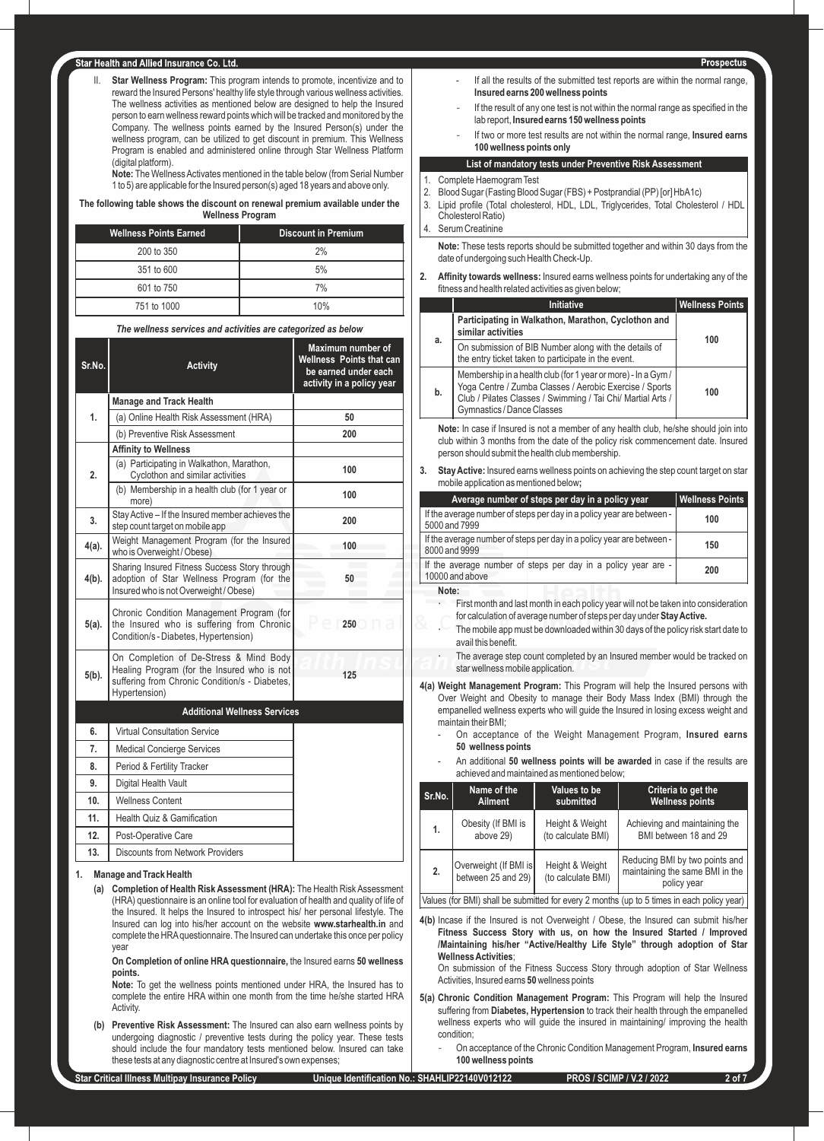II. **Star Wellness Program:** This program intends to promote, incentivize and to reward the Insured Persons' healthy life style through various wellness activities. The wellness activities as mentioned below are designed to help the Insured person to earn wellness reward points which will be tracked and monitored by the Company. The wellness points earned by the Insured Person(s) under the wellness program, can be utilized to get discount in premium. This Wellness Program is enabled and administered online through Star Wellness Platform (digital platform).

**Note:** The Wellness Activates mentioned in the table below (from Serial Number 1 to 5) are applicable for the Insured person(s) aged 18 years and above only.

**The following table shows the discount on renewal premium available under the Wellness Program**

| <b>Wellness Points Earned</b> | <b>Discount in Premium</b> |
|-------------------------------|----------------------------|
| 200 to 350                    | 2%                         |
| 351 to 600                    | 5%                         |
| 601 to 750                    | 7%                         |
| 751 to 1000                   | 10%                        |

*The wellness services and activities are categorized as below*

| Sr.No.   | <b>Activity</b>                                                                                                                                          | Maximum number of<br><b>Wellness Points that can</b><br>be earned under each<br>activity in a policy year |
|----------|----------------------------------------------------------------------------------------------------------------------------------------------------------|-----------------------------------------------------------------------------------------------------------|
|          | <b>Manage and Track Health</b>                                                                                                                           |                                                                                                           |
| 1.       | (a) Online Health Risk Assessment (HRA)                                                                                                                  | 50                                                                                                        |
|          | (b) Preventive Risk Assessment                                                                                                                           | 200                                                                                                       |
|          | <b>Affinity to Wellness</b>                                                                                                                              |                                                                                                           |
| 2.       | (a) Participating in Walkathon, Marathon,<br>Cyclothon and similar activities                                                                            | 100                                                                                                       |
|          | (b) Membership in a health club (for 1 year or<br>more)                                                                                                  | 100                                                                                                       |
| 3.       | Stay Active - If the Insured member achieves the<br>step count target on mobile app                                                                      | 200                                                                                                       |
| 4(a).    | Weight Management Program (for the Insured<br>who is Overweight / Obese)                                                                                 | 100                                                                                                       |
| $4(b)$ . | Sharing Insured Fitness Success Story through<br>adoption of Star Wellness Program (for the<br>Insured who is not Overweight / Obese)                    | 50                                                                                                        |
| $5(a)$ . | Chronic Condition Management Program (for<br>the Insured who is suffering from Chronic<br>Condition/s - Diabetes, Hypertension)                          | 250                                                                                                       |
| $5(b)$ . | On Completion of De-Stress & Mind Body<br>Healing Program (for the Insured who is not<br>suffering from Chronic Condition/s - Diabetes,<br>Hypertension) | 125                                                                                                       |
|          | <b>Additional Wellness Services</b>                                                                                                                      |                                                                                                           |
| 6.       | <b>Virtual Consultation Service</b>                                                                                                                      |                                                                                                           |
| 7.       | <b>Medical Concierge Services</b>                                                                                                                        |                                                                                                           |
| 8.       | Period & Fertility Tracker                                                                                                                               |                                                                                                           |
| 9.       | Digital Health Vault                                                                                                                                     |                                                                                                           |
| 10.      | <b>Wellness Content</b>                                                                                                                                  |                                                                                                           |
| 11.      | Health Quiz & Gamification                                                                                                                               |                                                                                                           |
| 12.      | Post-Operative Care                                                                                                                                      |                                                                                                           |
| 13.      | Discounts from Network Providers                                                                                                                         |                                                                                                           |

#### **1. Manage and Track Health**

**(a) Completion of Health Risk Assessment (HRA):** The Health Risk Assessment (HRA) questionnaire is an online tool for evaluation of health and quality of life of the Insured. It helps the Insured to introspect his/ her personal lifestyle. The Insured can log into his/her account on the website **www.starhealth.in** and complete the HRAquestionnaire. The Insured can undertake this once per policy year

**On Completion of online HRA questionnaire,** the Insured earns **50 wellness points.**

**Note:** To get the wellness points mentioned under HRA, the Insured has to complete the entire HRA within one month from the time he/she started HRA Activity.

- **(b) Preventive Risk Assessment:** The Insured can also earn wellness points by undergoing diagnostic / preventive tests during the policy year. These tests should include the four mandatory tests mentioned below. Insured can take these tests at any diagnostic centre at Insured's own expenses;
- **Star Critical Illness Multipay Insurance Policy Unique Identification No.: SHAHLIP22140V012122 PROS / SCIMP / V.2 / 2022 2 of 7**
- Prospectus If all the results of the submitted test reports are within the normal range, **Insured earns 200 wellness points**
- If the result of any one test is not within the normal range as specified in the lab report, **Insured earns 150 wellness points**
- If two or more test results are not within the normal range, **Insured earns 100 wellness points only**

# **List of mandatory tests under Preventive Risk Assessment**

- 1. Complete Haemogram Test<br>2. Blood Sugar (Fasting Blood
- 2. Blood Sugar (Fasting Blood Sugar (FBS) + Postprandial (PP) [or] HbA1c)
- 3. Lipid profile (Total cholesterol, HDL, LDL, Triglycerides, Total Cholesterol / HDL Cholesterol Ratio) 4. Serum Creatinine

**Note:** These tests reports should be submitted together and within 30 days from the date of undergoing such Health Check-Up.

**2. Affinity towards wellness:** Insured earns wellness points for undertaking any of the fitness and health related activities as given below;

|    | Initiative                                                                                                                                                                                                           | <b>Wellness Points</b> |
|----|----------------------------------------------------------------------------------------------------------------------------------------------------------------------------------------------------------------------|------------------------|
|    | Participating in Walkathon, Marathon, Cyclothon and<br>similar activities                                                                                                                                            |                        |
| a. | On submission of BIB Number along with the details of<br>the entry ticket taken to participate in the event.                                                                                                         | 100                    |
| b. | Membership in a health club (for 1 year or more) - In a Gym/<br>Yoga Centre / Zumba Classes / Aerobic Exercise / Sports<br>Club / Pilates Classes / Swimming / Tai Chi/ Martial Arts /<br>Gymnastics / Dance Classes | 100                    |

**Note:** In case if Insured is not a member of any health club, he/she should join into club within 3 months from the date of the policy risk commencement date. Insured person should submit the health club membership.

**3. Stay Active:** Insured earns wellness points on achieving the step count target on star mobile application as mentioned below**;**

| Average number of steps per day in a policy year                                       | <b>Wellness Points</b> |
|----------------------------------------------------------------------------------------|------------------------|
| If the average number of steps per day in a policy year are between -<br>5000 and 7999 | 100                    |
| If the average number of steps per day in a policy year are between -<br>8000 and 9999 | 150                    |
| If the average number of steps per day in a policy year are -<br>10000 and above       | 200                    |
| Note:                                                                                  |                        |

- First month and last month in each policy year will not be taken into consideration for calculation of average number of steps per day under **Stay Active.**
- The mobile app must be downloaded within 30 days of the policy risk start date to avail this benefit.
- The average step count completed by an Insured member would be tracked on star wellness mobile application.
- **4(a) Weight Management Program:** This Program will help the Insured persons with Over Weight and Obesity to manage their Body Mass Index (BMI) through the empanelled wellness experts who will guide the Insured in losing excess weight and maintain their BMI;
	- On acceptance of the Weight Management Program, **Insured earns 50 wellness points**
	- An additional **50 wellness points will be awarded** in case if the results are achieved and maintained as mentioned below;

| Sr.No.                                                                                                             | Name of the                                 | Values to be                          | Criteria to get the                                                              |
|--------------------------------------------------------------------------------------------------------------------|---------------------------------------------|---------------------------------------|----------------------------------------------------------------------------------|
|                                                                                                                    | <b>Ailment</b>                              | submitted                             | <b>Wellness points</b>                                                           |
| 1.                                                                                                                 | Obesity (If BMI is                          | Height & Weight                       | Achieving and maintaining the                                                    |
|                                                                                                                    | above 29)                                   | (to calculate BMI)                    | BMI between 18 and 29                                                            |
| 2.                                                                                                                 | Overweight (If BMI is<br>between 25 and 29) | Height & Weight<br>(to calculate BMI) | Reducing BMI by two points and<br>maintaining the same BMI in the<br>policy year |
| المقامر بالقطاعية والمجرم المتشارك المستقبل والمستحقق والمستند والمستنقص والمساري والمتارك المالا والمستقبل ومساوا |                                             |                                       |                                                                                  |

Values (for BMI) shall be submitted for every 2 months (up to 5 times in each policy year)

**4(b)** Incase if the Insured is not Overweight / Obese, the Insured can submit his/her **Fitness Success Story with us, on how the Insured Started / Improved /Maintaining his/her "Active/Healthy Life Style" through adoption of Star Wellness Activities**;

On submission of the Fitness Success Story through adoption of Star Wellness Activities, Insured earns **50** wellness points

- **5(a) Chronic Condition Management Program:** This Program will help the Insured suffering from **Diabetes, Hypertension** to track their health through the empanelled wellness experts who will guide the insured in maintaining/ improving the health condition;
	- On acceptance of the Chronic Condition Management Program, **Insured earns 100 wellness points**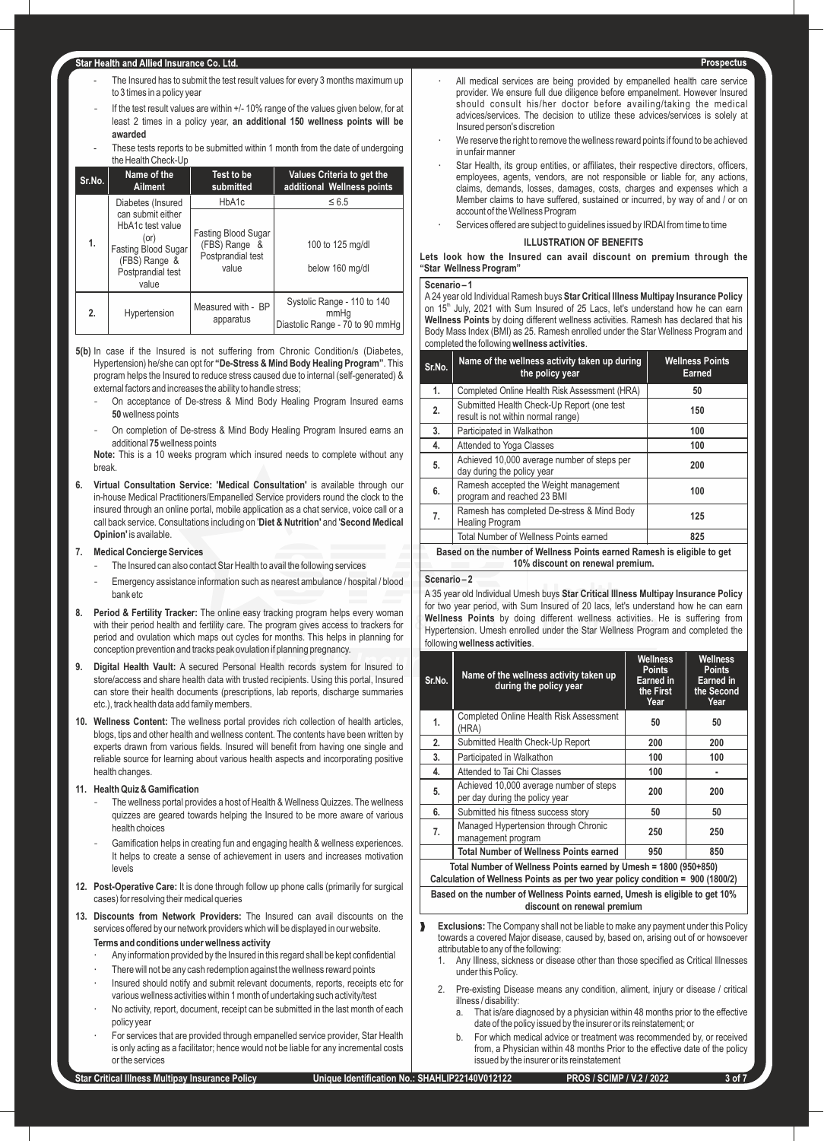- The Insured has to submit the test result values for every 3 months maximum up to 3 times in a policy year
- If the test result values are within +/- 10% range of the values given below, for at least 2 times in a policy year, **an additional 150 wellness points will be awarded**
- These tests reports to be submitted within 1 month from the date of undergoing the Health Check-Up

| Sr.No. | Name of the<br>Ailment                                                                                              | Test to be<br>submitted                                            | Values Criteria to get the<br>additional Wellness points               |
|--------|---------------------------------------------------------------------------------------------------------------------|--------------------------------------------------------------------|------------------------------------------------------------------------|
|        | Diabetes (Insured                                                                                                   | HbA1c                                                              | $\leq 6.5$                                                             |
| 1.     | can submit either<br>HbA1c test value<br>(or)<br>Fasting Blood Sugar<br>(FBS) Range &<br>Postprandial test<br>value | Fasting Blood Sugar<br>(FBS) Range &<br>Postprandial test<br>value | 100 to 125 mg/dl<br>below 160 mg/dl                                    |
| 2.     | Hypertension                                                                                                        | Measured with - BP<br>apparatus                                    | Systolic Range - 110 to 140<br>mmHq<br>Diastolic Range - 70 to 90 mmHg |

- **5(b)** In case if the Insured is not suffering from Chronic Condition/s (Diabetes, Hypertension) he/she can opt for **"De-Stress & Mind Body Healing Program"**. This program helps the Insured to reduce stress caused due to internal (self-generated) & external factors and increases the ability to handle stress;
	- On acceptance of De-stress & Mind Body Healing Program Insured earns **50**wellness points
	- On completion of De-stress & Mind Body Healing Program Insured earns an additional **75**wellness points

**Note:** This is a 10 weeks program which insured needs to complete without any break.

**6. Virtual Consultation Service: 'Medical Consultation'** is available through our in-house Medical Practitioners/Empanelled Service providers round the clock to the insured through an online portal, mobile application as a chat service, voice call or a call back service. Consultations including on '**Diet & Nutrition'** and '**Second Medical Opinion'** is available.

### **7. Medical Concierge Services**

- The Insured can also contact Star Health to avail the following services
- Emergency assistance information such as nearest ambulance / hospital / blood bank etc
- **8. Period & Fertility Tracker:** The online easy tracking program helps every woman with their period health and fertility care. The program gives access to trackers for period and ovulation which maps out cycles for months. This helps in planning for conception prevention and tracks peak ovulation if planning pregnancy.
- **9. Digital Health Vault:** A secured Personal Health records system for Insured to store/access and share health data with trusted recipients. Using this portal, Insured can store their health documents (prescriptions, lab reports, discharge summaries etc.), track health data add family members.
- **10. Wellness Content:** The wellness portal provides rich collection of health articles, blogs, tips and other health and wellness content. The contents have been written by experts drawn from various fields. Insured will benefit from having one single and reliable source for learning about various health aspects and incorporating positive health changes.

## **11. Health Quiz & Gamification**

- The wellness portal provides a host of Health & Wellness Quizzes. The wellness quizzes are geared towards helping the Insured to be more aware of various health choices
- Gamification helps in creating fun and engaging health & wellness experiences. It helps to create a sense of achievement in users and increases motivation levels
- **12. Post-Operative Care:** It is done through follow up phone calls (primarily for surgical cases) for resolving their medical queries
- **13. Discounts from Network Providers:** The Insured can avail discounts on the services offered by our network providers which will be displayed in our website. **Terms and conditions under wellness activity**
	- Any information provided by the Insured in this regard shall be kept confidential
	- There will not be any cash redemption against the wellness reward points
	- Insured should notify and submit relevant documents, reports, receipts etc for various wellness activities within 1 month of undertaking such activity/test
	- No activity, report, document, receipt can be submitted in the last month of each policy year
	- For services that are provided through empanelled service provider, Star Health is only acting as a facilitator; hence would not be liable for any incremental costs or the services
- All medical services are being provided by empanelled health care service provider. We ensure full due diligence before empanelment. However Insured should consult his/her doctor before availing/taking the medical advices/services. The decision to utilize these advices/services is solely at Insured person's discretion
- We reserve the right to remove the wellness reward points if found to be achieved in unfair manne
- Star Health, its group entities, or affiliates, their respective directors, officers, employees, agents, vendors, are not responsible or liable for, any actions, claims, demands, losses, damages, costs, charges and expenses which a Member claims to have suffered, sustained or incurred, by way of and / or on account of the Wellness Program
- Services offered are subject to guidelines issued by IRDAI from time to time

## **ILLUSTRATION OF BENEFITS**

**Lets look how the Insured can avail discount on premium through the "Star Wellness Program"**

#### **Scenario – 1**

A24 year old Individual Ramesh buys **Star Critical Illness Multipay Insurance Policy**  on 15<sup>th</sup> July, 2021 with Sum Insured of 25 Lacs, let's understand how he can earn **Wellness Points** by doing different wellness activities. Ramesh has declared that his Body Mass Index (BMI) as 25. Ramesh enrolled under the Star Wellness Program and completed the following **wellness activities**.

| Sr.No.                                                                                                      | Name of the wellness activity taken up during<br>the policy year                 | <b>Wellness Points</b><br><b>Earned</b> |
|-------------------------------------------------------------------------------------------------------------|----------------------------------------------------------------------------------|-----------------------------------------|
| 1.                                                                                                          | Completed Online Health Risk Assessment (HRA)                                    | 50                                      |
| 2.                                                                                                          | Submitted Health Check-Up Report (one test<br>result is not within normal range) | 150                                     |
| 3.                                                                                                          | Participated in Walkathon                                                        | 100                                     |
| 4.                                                                                                          | Attended to Yoga Classes                                                         | 100                                     |
| 5.                                                                                                          | Achieved 10,000 average number of steps per<br>day during the policy year        | 200                                     |
| 6.                                                                                                          | Ramesh accepted the Weight management<br>program and reached 23 BMI              | 100                                     |
| 7.                                                                                                          | Ramesh has completed De-stress & Mind Body<br><b>Healing Program</b>             | 125                                     |
|                                                                                                             | Total Number of Wellness Points earned                                           | 825                                     |
| Based on the number of Wellness Points earned Ramesh is eligible to get<br>10% discount on renewal premium. |                                                                                  |                                         |

#### **Scenario – 2**

A 35 year old Individual Umesh buys **Star Critical Illness Multipay Insurance Policy**  for two year period, with Sum Insured of 20 lacs, let's understand how he can earn **Wellness Points** by doing different wellness activities. He is suffering from Hypertension. Umesh enrolled under the Star Wellness Program and completed the following **wellness activities**.

| Sr.No. | Name of the wellness activity taken up<br>during the policy year          | <b>Wellness</b><br><b>Points</b><br>Earned in<br>the First<br>Year | <b>Wellness</b><br><b>Points</b><br><b>Earned</b> in<br>the Second<br>Year |
|--------|---------------------------------------------------------------------------|--------------------------------------------------------------------|----------------------------------------------------------------------------|
| 1.     | <b>Completed Online Health Risk Assessment</b><br>(HRA)                   | 50                                                                 | 50                                                                         |
| 2.     | Submitted Health Check-Up Report                                          | 200                                                                | 200                                                                        |
| 3.     | Participated in Walkathon                                                 | 100                                                                | 100                                                                        |
| 4.     | Attended to Tai Chi Classes                                               | 100                                                                |                                                                            |
| 5.     | Achieved 10,000 average number of steps<br>per day during the policy year | 200                                                                | 200                                                                        |
| 6.     | Submitted his fitness success story                                       | 50                                                                 | 50                                                                         |
| 7.     | Managed Hypertension through Chronic<br>management program                | 250                                                                | 250                                                                        |
|        | <b>Total Number of Wellness Points earned</b>                             | 950                                                                | 850                                                                        |
|        |                                                                           |                                                                    |                                                                            |

**Total Number of Wellness Points earned by Umesh = 1800 (950+850) Calculation of Wellness Points as per two year policy condition = 900 (1800/2)**

**Based on the number of Wellness Points earned, Umesh is eligible to get 10% discount on renewal premium**

- **Exclusions:** The Company shall not be liable to make any payment under this Policy towards a covered Major disease, caused by, based on, arising out of or howsoever attributable to any of the following:
	- 1. Any Illness, sickness or disease other than those specified as Critical Illnesses under this Policy.
	- 2. Pre-existing Disease means any condition, aliment, injury or disease / critical illness / disability:
		- a. That is/are diagnosed by a physician within 48 months prior to the effective date of the policy issued by the insurer or its reinstatement; or
		- b. For which medical advice or treatment was recommended by, or received from, a Physician within 48 months Prior to the effective date of the policy issued by the insurer or its reinstatement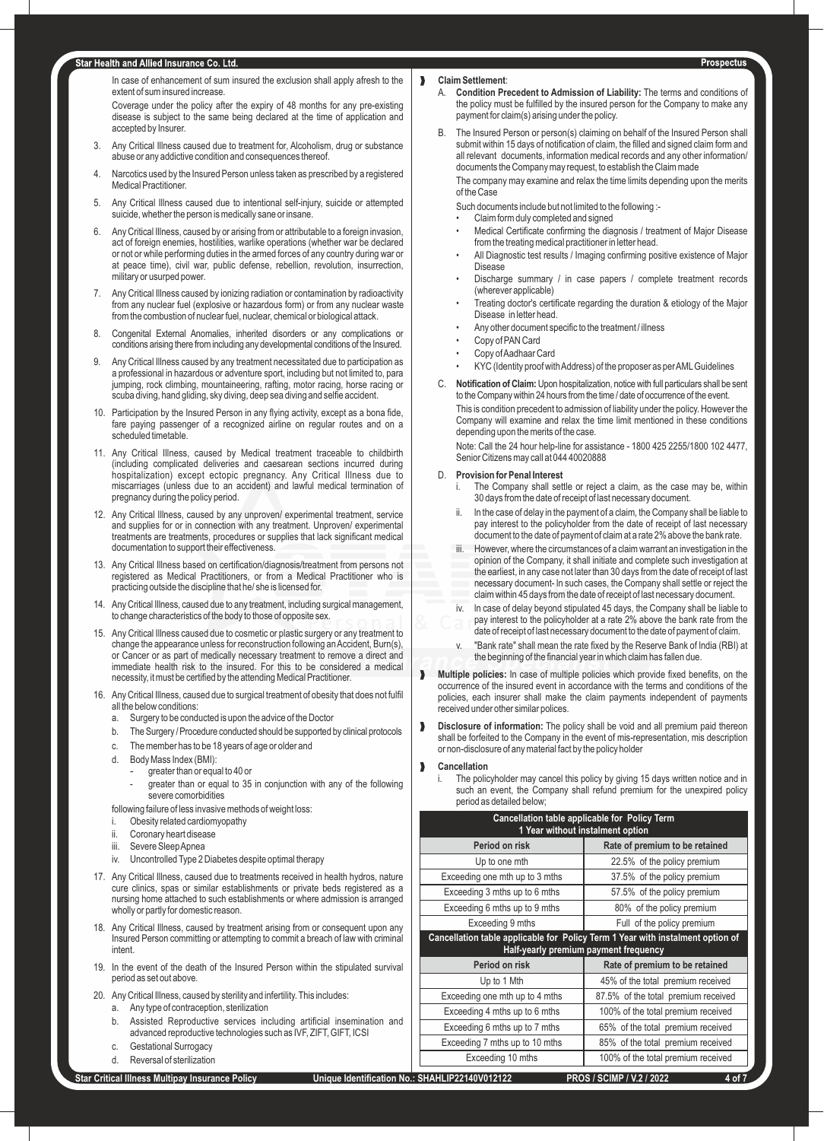In case of enhancement of sum insured the exclusion shall apply afresh to the extent of sum insured increase.

Coverage under the policy after the expiry of 48 months for any pre-existing disease is subject to the same being declared at the time of application and accepted by Insurer.

- 3. Any Critical Illness caused due to treatment for, Alcoholism, drug or substance abuse or any addictive condition and consequences thereof.
- 4. Narcotics used by the Insured Person unless taken as prescribed by a registered Medical Practitioner.
- 5. Any Critical Illness caused due to intentional self-injury, suicide or attempted suicide, whether the person is medically sane or insane.
- 6. Any Critical Illness, caused by or arising from or attributable to a foreign invasion, act of foreign enemies, hostilities, warlike operations (whether war be declared or not or while performing duties in the armed forces of any country during war or at peace time), civil war, public defense, rebellion, revolution, insurrection, military or usurped power.
- 7. Any Critical Illness caused by ionizing radiation or contamination by radioactivity from any nuclear fuel (explosive or hazardous form) or from any nuclear waste from the combustion of nuclear fuel, nuclear, chemical or biological attack.
- 8. Congenital External Anomalies, inherited disorders or any complications or conditions arising there from including any developmental conditions of the Insured.
- 9. Any Critical Illness caused by any treatment necessitated due to participation as a professional in hazardous or adventure sport, including but not limited to, para jumping, rock climbing, mountaineering, rafting, motor racing, horse racing or scuba diving, hand gliding, sky diving, deep sea diving and selfie accident.
- 10. Participation by the Insured Person in any flying activity, except as a bona fide, fare paying passenger of a recognized airline on regular routes and on a scheduled timetable.
- 11. Any Critical Illness, caused by Medical treatment traceable to childbirth (including complicated deliveries and caesarean sections incurred during hospitalization) except ectopic pregnancy. Any Critical Illness due to miscarriages (unless due to an accident) and lawful medical termination of pregnancy during the policy period.
- 12. Any Critical Illness, caused by any unproven/ experimental treatment, service and supplies for or in connection with any treatment. Unproven/ experimental treatments are treatments, procedures or supplies that lack significant medical documentation to support their effectiveness.
- 13. Any Critical Illness based on certification/diagnosis/treatment from persons not registered as Medical Practitioners, or from a Medical Practitioner who is practicing outside the discipline that he/ she is licensed for.
- Any Critical Illness, caused due to any treatment, including surgical management, to change characteristics of the body to those of opposite sex.
- 15. Any Critical Illness caused due to cosmetic or plastic surgery or any treatment to change the appearance unless for reconstruction following an Accident, Burn(s), or Cancer or as part of medically necessary treatment to remove a direct and immediate health risk to the insured. For this to be considered a medical necessity, it must be certified by the attending Medical Practitioner.
- 16. Any Critical Illness, caused due to surgical treatment of obesity that does not fulfil all the below conditions:
	- a. Surgery to be conducted is upon the advice of the Doctor
	- b. The Surgery / Procedure conducted should be supported by clinical protocols
	- c. The member has to be 18 years of age or older and
	- d. Body Mass Index (BMI):
		- greater than or equal to 40 or
			- greater than or equal to 35 in conjunction with any of the following severe comorbidities

following failure of less invasive methods of weight loss:

- i. Obesity related cardiomyopathy
- ii. Coronary heart disease
- iii. Severe Sleep Apnea
- iv. Uncontrolled Type 2 Diabetes despite optimal therapy
- 17. Any Critical Illness, caused due to treatments received in health hydros, nature cure clinics, spas or similar establishments or private beds registered as a nursing home attached to such establishments or where admission is arranged wholly or partly for domestic reason.
- 18. Any Critical Illness, caused by treatment arising from or consequent upon any Insured Person committing or attempting to commit a breach of law with criminal intent.
- 19. In the event of the death of the Insured Person within the stipulated survival period as set out above.
- 20. Any Critical Illness, caused by sterility and infertility. This includes:
	- a. Any type of contraception, sterilization
		- b. Assisted Reproductive services including artificial insemination and advanced reproductive technologies such as IVF, ZIFT, GIFT, ICSI
		- c. Gestational Surrogacy
		- d. Reversal of sterilization

# ‰ **Claim Settlement**:

- A. **Condition Precedent to Admission of Liability:** The terms and conditions of the policy must be fulfilled by the insured person for the Company to make any payment for claim(s) arising under the policy.
- B. The Insured Person or person(s) claiming on behalf of the Insured Person shall submit within 15 days of notification of claim, the filled and signed claim form and all relevant documents, information medical records and any other information/ documents the Company may request, to establish the Claim made

The company may examine and relax the time limits depending upon the merits of the Case

Such documents include but not limited to the following :-

- Claim form duly completed and signed
- Medical Certificate confirming the diagnosis / treatment of Major Disease from the treating medical practitioner in letter head.
- All Diagnostic test results / Imaging confirming positive existence of Major Disease
- Discharge summary / in case papers / complete treatment records (wherever applicable)
- Treating doctor's certificate regarding the duration & etiology of the Major Disease in letter head.
- Any other document specific to the treatment / illness
- Copy of PAN Card
- Copy of Aadhaar Card
- KYC (Identity proof with Address) of the proposer as per AMLGuidelines
- C. **Notification of Claim:** Upon hospitalization, notice with full particulars shall be sent to the Company within 24 hours from the time / date of occurrence of the event.

This is condition precedent to admission of liability under the policy. However the Company will examine and relax the time limit mentioned in these conditions depending upon the merits of the case.

Note: Call the 24 hour help-line for assistance - 1800 425 2255/1800 102 4477, Senior Citizens may call at 044 40020888

#### D. **Provision for Penal Interest**

- The Company shall settle or reject a claim, as the case may be, within 30 days from the date of receipt of last necessary document.
- In the case of delay in the payment of a claim, the Company shall be liable to pay interest to the policyholder from the date of receipt of last necessary document to the date of payment of claim at a rate 2% above the bank rate.
- iii. However, where the circumstances of a claim warrant an investigation in the opinion of the Company, it shall initiate and complete such investigation at the earliest, in any case not later than 30 days from the date of receipt of last necessary document- ln such cases, the Company shall settle or reject the claim within 45 days from the date of receipt of last necessary document.
- iv. ln case of delay beyond stipulated 45 days, the Company shall be liable to pay interest to the policyholder at a rate 2% above the bank rate from the date of receipt of last necessary document to the date of payment of claim.
- "Bank rate" shall mean the rate fixed by the Reserve Bank of India (RBI) at the beginning of the financial year in which claim has fallen due.
- ‰ **Multiple policies:** In case of multiple policies which provide fixed benefits, on the occurrence of the insured event in accordance with the terms and conditions of the policies, each insurer shall make the claim payments independent of payments received under other similar polices.
- ‰ **Disclosure of information:** The policy shall be void and all premium paid thereon shall be forfeited to the Company in the event of mis-representation, mis description or non-disclosure of any material fact by the policy holder

#### ‰ **Cancellation**

The policyholder may cancel this policy by giving 15 days written notice and in such an event, the Company shall refund premium for the unexpired policy period as detailed below;

| Cancellation table applicable for Policy Term<br>1 Year without instalment option                                       |                                     |  |
|-------------------------------------------------------------------------------------------------------------------------|-------------------------------------|--|
| Period on risk                                                                                                          | Rate of premium to be retained      |  |
| Up to one mth                                                                                                           | 22.5% of the policy premium         |  |
| Exceeding one mth up to 3 mths                                                                                          | 37.5% of the policy premium         |  |
| Exceeding 3 mths up to 6 mths                                                                                           | 57.5% of the policy premium         |  |
| Exceeding 6 mths up to 9 mths                                                                                           | 80% of the policy premium           |  |
| Exceeding 9 mths                                                                                                        | Full of the policy premium          |  |
| Cancellation table applicable for Policy Term 1 Year with instalment option of<br>Half-yearly premium payment frequency |                                     |  |
| Period on risk                                                                                                          | Rate of premium to be retained      |  |
| Up to 1 Mth                                                                                                             | 45% of the total premium received   |  |
| Exceeding one mth up to 4 mths                                                                                          | 87.5% of the total premium received |  |
| Exceeding 4 mths up to 6 mths                                                                                           | 100% of the total premium received  |  |
| Exceeding 6 mths up to 7 mths                                                                                           | 65% of the total premium received   |  |
| Exceeding 7 mths up to 10 mths                                                                                          | 85% of the total premium received   |  |
| Exceeding 10 mths                                                                                                       | 100% of the total premium received  |  |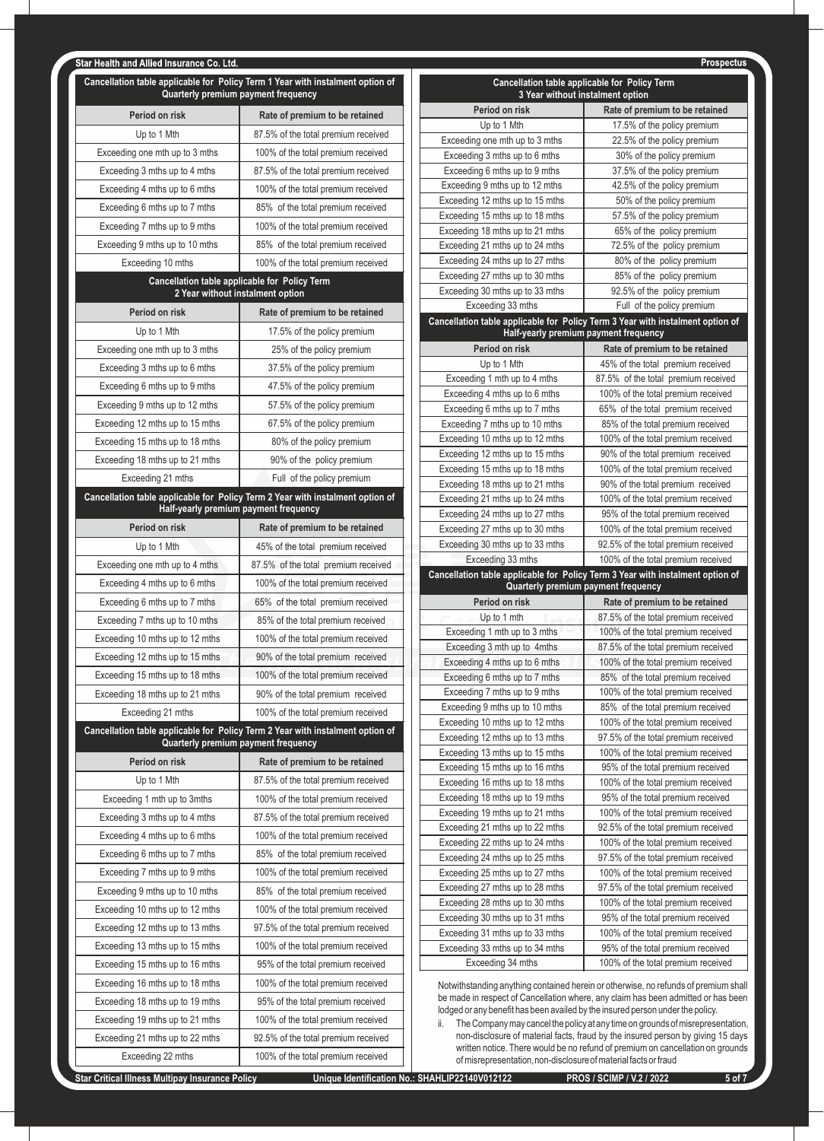| Cancellation table applicable for Policy Term 1 Year with instalment option of<br>Quarterly premium payment frequency |                                                                                   |  |
|-----------------------------------------------------------------------------------------------------------------------|-----------------------------------------------------------------------------------|--|
| Period on risk                                                                                                        | Rate of premium to be retained                                                    |  |
| Up to 1 Mth                                                                                                           | 87.5% of the total premium received                                               |  |
| Exceeding one mth up to 3 mths                                                                                        | 100% of the total premium received                                                |  |
| Exceeding 3 mths up to 4 mths                                                                                         | 87.5% of the total premium received                                               |  |
| Exceeding 4 mths up to 6 mths                                                                                         | 100% of the total premium received                                                |  |
| Exceeding 6 mths up to 7 mths                                                                                         | 85% of the total premium received                                                 |  |
| Exceeding 7 mths up to 9 mths                                                                                         | 100% of the total premium received                                                |  |
| Exceeding 9 mths up to 10 mths                                                                                        | 85% of the total premium received                                                 |  |
| Exceeding 10 mths                                                                                                     | 100% of the total premium received                                                |  |
|                                                                                                                       | Cancellation table applicable for Policy Term<br>2 Year without instalment option |  |
| Period on risk                                                                                                        | Rate of premium to be retained                                                    |  |
| Up to 1 Mth                                                                                                           | 17.5% of the policy premium                                                       |  |
| Exceeding one mth up to 3 mths                                                                                        | 25% of the policy premium                                                         |  |
| Exceeding 3 mths up to 6 mths                                                                                         | 37.5% of the policy premium                                                       |  |
| Exceeding 6 mths up to 9 mths                                                                                         | 47.5% of the policy premium                                                       |  |
| Exceeding 9 mths up to 12 mths                                                                                        | 57.5% of the policy premium                                                       |  |
| Exceeding 12 mths up to 15 mths                                                                                       | 67.5% of the policy premium                                                       |  |
| Exceeding 15 mths up to 18 mths                                                                                       | 80% of the policy premium                                                         |  |
| Exceeding 18 mths up to 21 mths                                                                                       | 90% of the policy premium                                                         |  |
| Exceeding 21 mths                                                                                                     | Full of the policy premium                                                        |  |
|                                                                                                                       | Cancellation table applicable for Policy Term 2 Year with instalment option of    |  |
| Period on risk                                                                                                        | Half-yearly premium payment frequency<br>Rate of premium to be retained           |  |
| Up to 1 Mth                                                                                                           |                                                                                   |  |
| Exceeding one mth up to 4 mths                                                                                        | 45% of the total premium received<br>87.5% of the total premium received          |  |
| Exceeding 4 mths up to 6 mths                                                                                         | 100% of the total premium received                                                |  |
| Exceeding 6 mths up to 7 mths                                                                                         | 65% of the total premium received                                                 |  |
| Exceeding 7 mths up to 10 mths                                                                                        | 85% of the total premium received                                                 |  |
| Exceeding 10 mths up to 12 mths                                                                                       | 100% of the total premium received                                                |  |
| Exceeding 12 mths up to 15 mths                                                                                       | 90% of the total premium received                                                 |  |
| Exceeding 15 mths up to 18 mths                                                                                       | 100% of the total premium received                                                |  |
| Exceeding 18 mths up to 21 mths                                                                                       | 90% of the total premium received                                                 |  |
| Exceeding 21 mths                                                                                                     | 100% of the total premium received                                                |  |
|                                                                                                                       | Cancellation table applicable for Policy Term 2 Year with instalment option of    |  |
|                                                                                                                       | Quarterly premium payment frequency                                               |  |
| Period on risk                                                                                                        | Rate of premium to be retained                                                    |  |
| Up to 1 Mth                                                                                                           | 87.5% of the total premium received                                               |  |
| Exceeding 1 mth up to 3mths                                                                                           | 100% of the total premium received                                                |  |
| Exceeding 3 mths up to 4 mths                                                                                         | 87.5% of the total premium received                                               |  |
| Exceeding 4 mths up to 6 mths                                                                                         | 100% of the total premium received                                                |  |
| Exceeding 6 mths up to 7 mths                                                                                         | 85% of the total premium received                                                 |  |
| Exceeding 7 mths up to 9 mths                                                                                         | 100% of the total premium received                                                |  |
| Exceeding 9 mths up to 10 mths                                                                                        | 85% of the total premium received                                                 |  |
| Exceeding 10 mths up to 12 mths                                                                                       | 100% of the total premium received                                                |  |
| Exceeding 12 mths up to 13 mths                                                                                       | 97.5% of the total premium received                                               |  |
| Exceeding 13 mths up to 15 mths                                                                                       | 100% of the total premium received                                                |  |
| Exceeding 15 mths up to 16 mths                                                                                       | 95% of the total premium received                                                 |  |
| Exceeding 16 mths up to 18 mths                                                                                       | 100% of the total premium received                                                |  |
| Exceeding 18 mths up to 19 mths                                                                                       | 95% of the total premium received                                                 |  |
| Exceeding 19 mths up to 21 mths                                                                                       | 100% of the total premium received                                                |  |
| Exceeding 21 mths up to 22 mths                                                                                       | 92.5% of the total premium received                                               |  |
| Exceeding 22 mths                                                                                                     | 100% of the total premium received                                                |  |

| Cancellation table applicable for Policy Term<br>3 Year without instalment option |                                                                           |  |  |
|-----------------------------------------------------------------------------------|---------------------------------------------------------------------------|--|--|
| Period on risk                                                                    | Rate of premium to be retained                                            |  |  |
| Up to 1 Mth                                                                       | 17.5% of the policy premium                                               |  |  |
| Exceeding one mth up to 3 mths                                                    | 22.5% of the policy premium                                               |  |  |
| Exceeding 3 mths up to 6 mths                                                     | 30% of the policy premium                                                 |  |  |
| Exceeding 6 mths up to 9 mths                                                     | 37.5% of the policy premium                                               |  |  |
| Exceeding 9 mths up to 12 mths                                                    | 42.5% of the policy premium                                               |  |  |
| Exceeding 12 mths up to 15 mths                                                   | 50% of the policy premium                                                 |  |  |
| Exceeding 15 mths up to 18 mths                                                   | 57.5% of the policy premium                                               |  |  |
| Exceeding 18 mths up to 21 mths                                                   | 65% of the policy premium                                                 |  |  |
| Exceeding 21 mths up to 24 mths                                                   | 72.5% of the policy premium                                               |  |  |
| Exceeding 24 mths up to 27 mths<br>Exceeding 27 mths up to 30 mths                | 80% of the policy premium<br>85% of the policy premium                    |  |  |
| Exceeding 30 mths up to 33 mths                                                   | 92.5% of the policy premium                                               |  |  |
| Exceeding 33 mths                                                                 | Full of the policy premium                                                |  |  |
| Cancellation table applicable for Policy Term 3 Year with instalment option of    |                                                                           |  |  |
| Half-yearly premium payment frequency                                             |                                                                           |  |  |
| Period on risk                                                                    | Rate of premium to be retained                                            |  |  |
| Up to 1 Mth                                                                       | 45% of the total premium received                                         |  |  |
| Exceeding 1 mth up to 4 mths                                                      | 87.5% of the total premium received                                       |  |  |
| Exceeding 4 mths up to 6 mths                                                     | 100% of the total premium received                                        |  |  |
| Exceeding 6 mths up to 7 mths                                                     | 65% of the total premium received                                         |  |  |
| Exceeding 7 mths up to 10 mths                                                    | 85% of the total premium received                                         |  |  |
| Exceeding 10 mths up to 12 mths<br>Exceeding 12 mths up to 15 mths                | 100% of the total premium received<br>90% of the total premium received   |  |  |
| Exceeding 15 mths up to 18 mths                                                   | 100% of the total premium received                                        |  |  |
| Exceeding 18 mths up to 21 mths                                                   | 90% of the total premium received                                         |  |  |
| Exceeding 21 mths up to 24 mths                                                   | 100% of the total premium received                                        |  |  |
| Exceeding 24 mths up to 27 mths                                                   | 95% of the total premium received                                         |  |  |
| Exceeding 27 mths up to 30 mths                                                   | 100% of the total premium received                                        |  |  |
|                                                                                   |                                                                           |  |  |
| Exceeding 30 mths up to 33 mths                                                   | 92.5% of the total premium received                                       |  |  |
| Exceeding 33 mths                                                                 | 100% of the total premium received                                        |  |  |
| Cancellation table applicable for Policy Term 3 Year with instalment option of    |                                                                           |  |  |
| Quarterly premium payment frequency<br>Period on risk                             |                                                                           |  |  |
| Up to 1 mth                                                                       | Rate of premium to be retained<br>87.5% of the total premium received     |  |  |
| Exceeding 1 mth up to 3 mths                                                      | 100% of the total premium received                                        |  |  |
| Exceeding 3 mth up to 4mths                                                       | 87.5% of the total premium received                                       |  |  |
| Exceeding 4 mths up to 6 mths                                                     | 100% of the total premium received                                        |  |  |
| Exceeding 6 mths up to 7 mths                                                     | 85% of the total premium received                                         |  |  |
| Exceeding 7 mths up to 9 mths                                                     | 100% of the total premium received                                        |  |  |
| Exceeding 9 mths up to 10 mths                                                    | 85% of the total premium received                                         |  |  |
| Exceeding 10 mths up to 12 mths                                                   | 100% of the total premium received                                        |  |  |
| Exceeding 12 mths up to 13 mths                                                   | 97.5% of the total premium received                                       |  |  |
| Exceeding 13 mths up to 15 mths                                                   | 100% of the total premium received                                        |  |  |
| Exceeding 15 mths up to 16 mths                                                   | 95% of the total premium received                                         |  |  |
| Exceeding 16 mths up to 18 mths                                                   | 100% of the total premium received                                        |  |  |
| Exceeding 18 mths up to 19 mths                                                   | 95% of the total premium received                                         |  |  |
| Exceeding 19 mths up to 21 mths                                                   | 100% of the total premium received                                        |  |  |
| Exceeding 21 mths up to 22 mths                                                   | 92.5% of the total premium received                                       |  |  |
| Exceeding 22 mths up to 24 mths<br>Exceeding 24 mths up to 25 mths                | 100% of the total premium received<br>97.5% of the total premium received |  |  |
| Exceeding 25 mths up to 27 mths                                                   | 100% of the total premium received                                        |  |  |
| Exceeding 27 mths up to 28 mths                                                   | 97.5% of the total premium received                                       |  |  |
| Exceeding 28 mths up to 30 mths                                                   | 100% of the total premium received                                        |  |  |
| Exceeding 30 mths up to 31 mths                                                   | 95% of the total premium received                                         |  |  |
| Exceeding 31 mths up to 33 mths                                                   | 100% of the total premium received                                        |  |  |
| Exceeding 33 mths up to 34 mths                                                   | 95% of the total premium received                                         |  |  |
| Exceeding 34 mths                                                                 | 100% of the total premium received                                        |  |  |

Notwithstanding anything contained herein or otherwise, no refunds of premium shall be made in respect of Cancellation where, any claim has been admitted or has been lodged or any benefit has been availed by the insured person under the policy.

ii. The Company may cancel the policy at any time on grounds of misrepresentation, non-disclosure of material facts, fraud by the insured person by giving 15 days written notice. There would be no refund of premium on cancellation on grounds of misrepresentation, non-disclosure of material facts or fraud

Prospectus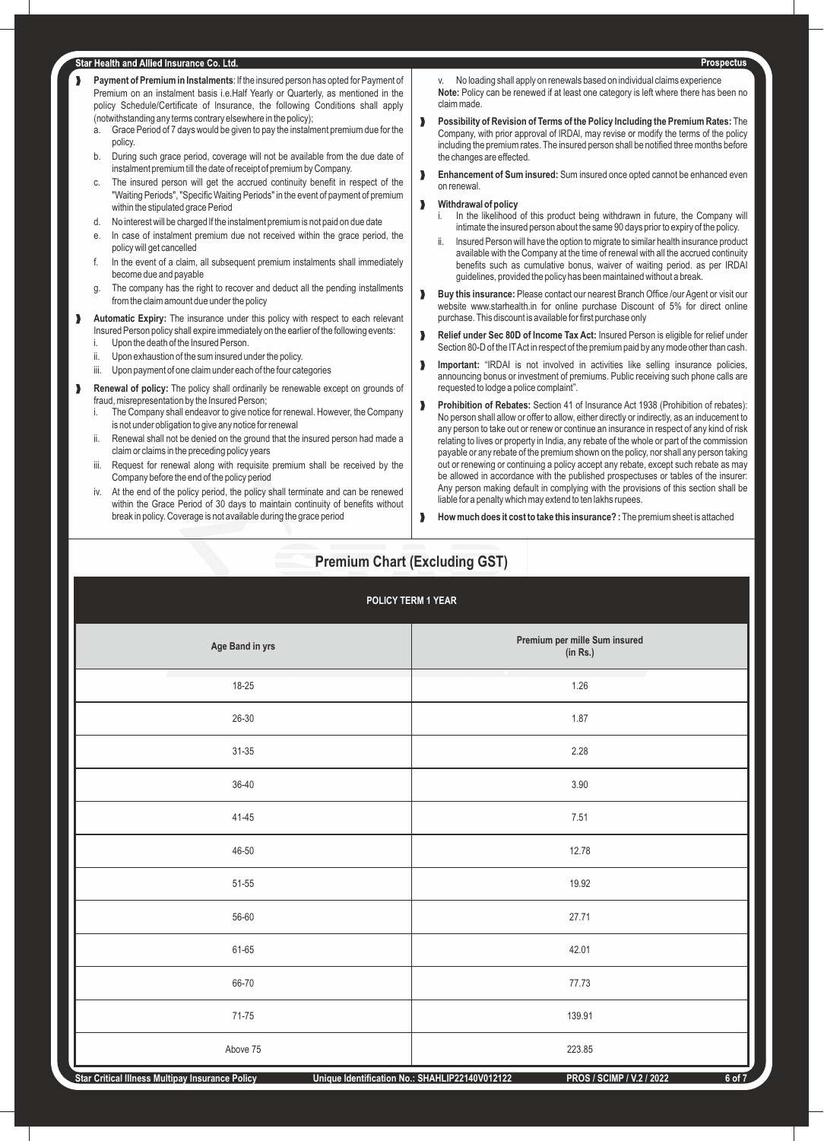- ‰ **Payment of Premium in Instalments**: lf the insured person has opted for Payment of Premium on an instalment basis i.e.Half Yearly or Quarterly, as mentioned in the policy Schedule/Certificate of lnsurance, the following Conditions shall apply (notwithstanding any terms contrary elsewhere in the policy);
	- a. Grace Period of 7 days would be given to pay the instalment premium due for the policy.
	- b. During such grace period, coverage will not be available from the due date of instalment premium till the date of receipt of premium by Company.
	- The insured person will get the accrued continuity benefit in respect of the "Waiting Periods", "Specific Waiting Periods" in the event of payment of premium within the stipulated grace Period
	- d. No interest will be charged lf the instalment premium is not paid on due date
	- e. ln case of instalment premium due not received within the grace period, the policy will get cancelled
	- f. ln the event of a claim, all subsequent premium instalments shall immediately become due and payable
	- g. The company has the right to recover and deduct all the pending installments from the claim amount due under the policy
- **M** Automatic Expiry: The insurance under this policy with respect to each relevant Insured Person policy shall expire immediately on the earlier of the following events:
	- Upon the death of the Insured Person.
	- ii. Upon exhaustion of the sum insured under the policy.
	- iii. Upon payment of one claim under each of the four categories
- **Renewal of policy:** The policy shall ordinarily be renewable except on grounds of fraud, misrepresentation by the Insured Person;
	- i. The Company shall endeavor to give notice for renewal. However, the Company is not under obligation to give any notice for renewal
	- Renewal shall not be denied on the ground that the insured person had made a claim or claims in the preceding policy years
	- Request for renewal along with requisite premium shall be received by the Company before the end of the policy period
	- iv. At the end of the policy period, the policy shall terminate and can be renewed within the Grace Period of 30 days to maintain continuity of benefits without break in policy. Coverage is not available during the grace period

No loading shall apply on renewals based on individual claims experience **Note:** Policy can be renewed if at least one category is left where there has been no claim made.

- ‰ **Possibility of Revision of Terms of the Policy lncluding the Premium Rates:** The Company, with prior approval of lRDAl, may revise or modify the terms of the policy including the premium rates. The insured person shall be notified three months before the changes are effected.
- **Enhancement of Sum insured:** Sum insured once opted cannot be enhanced even on renewal.

#### **Withdrawal of policy**

- In the likelihood of this product being withdrawn in future, the Company will intimate the insured person about the same 90 days prior to expiry of the policy.
- Insured Person will have the option to migrate to similar health insurance product available with the Company at the time of renewal with all the accrued continuity benefits such as cumulative bonus, waiver of waiting period. as per IRDAI guidelines, provided the policy has been maintained without a break.
- **Buy this insurance:** Please contact our nearest Branch Office /our Agent or visit our website www.starhealth.in for online purchase Discount of 5% for direct online purchase. This discount is available for first purchase only
- **N** Relief under Sec 80D of Income Tax Act: Insured Person is eligible for relief under Section 80-D of the IT Act in respect of the premium paid by any mode other than cash.
- **Important:** "IRDAI is not involved in activities like selling insurance policies, announcing bonus or investment of premiums. Public receiving such phone calls are requested to lodge a police complaint".
- **Prohibition of Rebates:** Section 41 of Insurance Act 1938 (Prohibition of rebates): No person shall allow or offer to allow, either directly or indirectly, as an inducement to any person to take out or renew or continue an insurance in respect of any kind of risk relating to lives or property in India, any rebate of the whole or part of the commission payable or any rebate of the premium shown on the policy, nor shall any person taking out or renewing or continuing a policy accept any rebate, except such rebate as may be allowed in accordance with the published prospectuses or tables of the insurer: Any person making default in complying with the provisions of this section shall be liable for a penalty which may extend to ten lakhs rupees.
- **M** How much does it cost to take this insurance? : The premium sheet is attached

# **Premium Chart (Excluding GST)**

| POLICY TERM 1 YEAR |                                           |  |
|--------------------|-------------------------------------------|--|
| Age Band in yrs    | Premium per mille Sum insured<br>(in Rs.) |  |
| 18-25              | 1.26                                      |  |
| $26 - 30$          | 1.87                                      |  |
| $31 - 35$          | 2.28                                      |  |
| 36-40              | $3.90\,$                                  |  |
| $41 - 45$          | 7.51                                      |  |
| 46-50              | 12.78                                     |  |
| $51 - 55$          | 19.92                                     |  |
| 56-60              | 27.71                                     |  |
| 61-65              | 42.01                                     |  |
| 66-70              | 77.73                                     |  |
| $71 - 75$          | 139.91                                    |  |
| Above 75           | 223.85                                    |  |